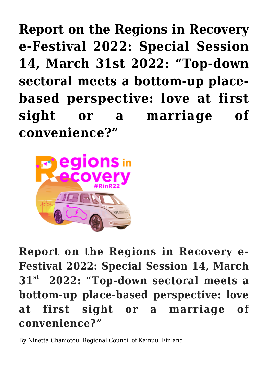**[Report on the Regions in Recovery](https://regions.regionalstudies.org/ezine/article/issue-12-report-ninetta-chaniotou/) [e-Festival 2022: Special Session](https://regions.regionalstudies.org/ezine/article/issue-12-report-ninetta-chaniotou/) [14, March 31st 2022: "Top-down](https://regions.regionalstudies.org/ezine/article/issue-12-report-ninetta-chaniotou/) [sectoral meets a bottom-up place](https://regions.regionalstudies.org/ezine/article/issue-12-report-ninetta-chaniotou/)[based perspective: love at first](https://regions.regionalstudies.org/ezine/article/issue-12-report-ninetta-chaniotou/) [sight or a marriage of](https://regions.regionalstudies.org/ezine/article/issue-12-report-ninetta-chaniotou/) [convenience?"](https://regions.regionalstudies.org/ezine/article/issue-12-report-ninetta-chaniotou/)**



**Report on the Regions in Recovery e-Festival 2022: Special Session 14, March 31st 2022: "Top-down sectoral meets a bottom-up place-based perspective: love at first sight or a marriage of convenience?"**

By [Ninetta Chaniotou,](https://www.linkedin.com/in/ninetta-chaniotou-7917a711/) Regional Council of Kainuu, Finland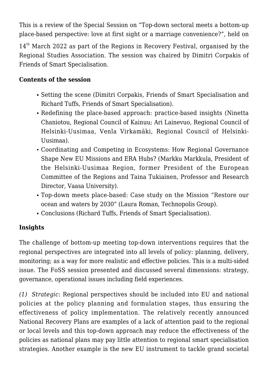This is a review of the Special Session on "Top-down sectoral meets a bottom-up place-based perspective: love at first sight or a marriage convenience?", held on

14<sup>th</sup> March 2022 as part of the [Regions in Recovery Festival](https://www.regionalstudies.org/events/rinr2022/), organised by the Regional Studies Association. The session was chaired by Dimitri Corpakis of [Friends of Smart Specialisation](https://friendsofsmartspecialisation.eu/).

## **Contents of the session**

- Setting the scene (Dimitri Corpakis, Friends of Smart Specialisation and Richard Tuffs, Friends of Smart Specialisation).
- Redefining the place-based approach: practice-based insights (Ninetta Chaniotou, Regional Council of Kainuu; Ari Lainevuo, Regional Council of Helsinki-Uusimaa, Venla Virkamäki, Regional Council of Helsinki-Uusimaa).
- Coordinating and Competing in Ecosystems: How Regional Governance Shape New EU Missions and ERA Hubs? (Markku Markkula, President of the Helsinki-Uusimaa Region, former President of the European Committee of the Regions and Taina Tukiainen, Professor and Research Director, Vaasa University).
- Top-down meets place-based: Case study on the Mission "Restore our ocean and waters by 2030" (Laura Roman, Technopolis Group).
- Conclusions (Richard Tuffs, Friends of Smart Specialisation).

## **Insights**

The challenge of bottom-up meeting top-down interventions requires that the regional perspectives are integrated into all levels of policy: planning, delivery, monitoring; as a way for more realistic and effective policies. This is a multi-sided issue. The FoSS session presented and discussed several dimensions: strategy, governance, operational issues including field experiences.

*(1) Strategic:* Regional perspectives should be included into EU and national policies at the policy planning and formulation stages, thus ensuring the effectiveness of policy implementation. The relatively recently announced [National Recovery Plans](https://ec.europa.eu/info/business-economy-euro/recovery-coronavirus/recovery-and-resilience-facility_en?msclkid=aebd7cd2b19711ec8efbf1df7a492105) are examples of a lack of attention paid to the regional or local levels and this top-down approach may reduce the effectiveness of the policies as national plans may pay little attention to regional smart specialisation strategies. Another example is the new EU instrument to tackle grand societal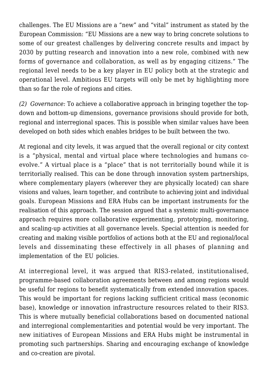challenges. The EU Missions are a "new" and "vital" instrument as stated by the European Commission: "EU Missions are a new way to bring concrete solutions to some of our greatest challenges by delivering concrete results and impact by 2030 by putting research and innovation into a new role, combined with new forms of governance and collaboration, as well as by engaging citizens." The regional level needs to be a key player in EU policy both at the strategic and operational level. Ambitious EU targets will only be met by highlighting more than so far the role of regions and cities.

*(2) Governance:* To achieve a collaborative approach in bringing together the topdown and bottom-up dimensions, governance provisions should provide for both, regional and interregional spaces. This is possible when similar values have been developed on both sides which enables bridges to be built between the two.

At regional and city levels, it was argued that the overall regional or city context is a "physical, mental and virtual place where technologies and humans coevolve." A virtual place is a "place" that is not territorially bound while it is territorially realised. This can be done through innovation system partnerships, where complementary players (wherever they are physically located) can share visions and values, learn together, and contribute to achieving joint and individual goals. [European Missions](https://ec.europa.eu/info/research-and-innovation/funding/funding-opportunities/funding-programmes-and-open-calls/horizon-europe/eu-missions-horizon-europe_en?msclkid=c1d67b64b19811ec9ce682d16e503e90) and [ERA Hubs](https://eur-lex.europa.eu/legal-content/EN/TXT/PDF/?uri=CELEX:52020DC0628&from=EN) can be important instruments for the realisation of this approach. The session argued that a systemic multi-governance approach requires more collaborative experimenting, prototyping, monitoring, and scaling-up activities at all governance levels. Special attention is needed for creating and making visible portfolios of actions both at the EU and regional/local levels and disseminating these effectively in all phases of planning and implementation of the EU policies.

At interregional level, it was argued that RIS3-related, institutionalised, programme-based collaboration agreements between and among regions would be useful for regions to benefit systematically from extended innovation spaces. This would be important for regions lacking sufficient critical mass (economic base), knowledge or innovation infrastructure resources related to their RIS3. This is where mutually beneficial collaborations based on documented national and interregional complementarities and potential would be very important. The new initiatives of European Missions and ERA Hubs might be instrumental in promoting such partnerships. Sharing and encouraging exchange of knowledge and co-creation are pivotal.